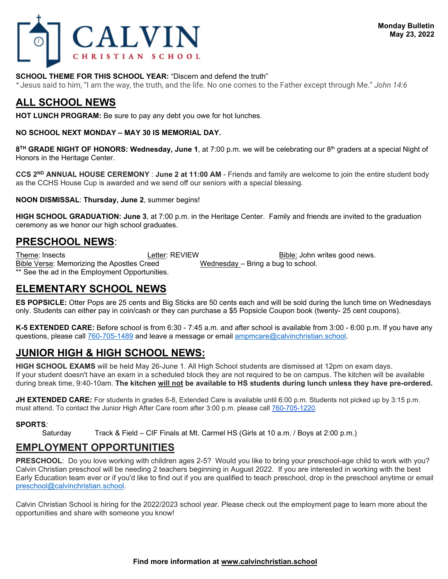

*"* Jesus said to him, "I am the way, the truth, and the life. No one comes to the Father except through Me." *John 14:6*

# **ALL SCHOOL NEWS**

**HOT LUNCH PROGRAM:** Be sure to pay any debt you owe for hot lunches.

**NO SCHOOL NEXT MONDAY – MAY 30 IS MEMORIAL DAY.**

**8TH GRADE NIGHT OF HONORS: Wednesday, June 1**, at 7:00 p.m. we will be celebrating our 8th graders at a special Night of Honors in the Heritage Center.

**CCS 2ND ANNUAL HOUSE CEREMONY** : **June 2 at 11:00 AM** - Friends and family are welcome to join the entire student body as the CCHS House Cup is awarded and we send off our seniors with a special blessing.

**NOON DISMISSAL**: **Thursday, June 2**, summer begins!

**HIGH SCHOOL GRADUATION: June 3**, at 7:00 p.m. in the Heritage Center. Family and friends are invited to the graduation ceremony as we honor our high school graduates.

## **PRESCHOOL NEWS**:

Theme: Insects **Example: Letter: REVIEW** Bible: John writes good news. Bible Verse: Memorizing the Apostles Creed Wednesday – Bring a bug to school. \*\* See the ad in the Employment Opportunities.

### **ELEMENTARY SCHOOL NEWS**

**ES POPSICLE:** Otter Pops are 25 cents and Big Sticks are 50 cents each and will be sold during the lunch time on Wednesdays only. Students can either pay in coin/cash or they can purchase a \$5 Popsicle Coupon book (twenty- 25 cent coupons).

**K-5 EXTENDED CARE:** Before school is from 6:30 - 7:45 a.m. and after school is available from 3:00 - 6:00 p.m. If you have any questions, please call 760-705-1489 and leave a message or email [ampmcare@calvinchristian.school.](mailto:ampmcare@calvinchristian.school)

# **JUNIOR HIGH & HIGH SCHOOL NEWS:**

**HIGH SCHOOL EXAMS** will be held May 26-June 1. All High School students are dismissed at 12pm on exam days. If your student doesn't have an exam in a scheduled block they are not required to be on campus. The kitchen will be available during break time, 9:40-10am. **The kitchen will not be available to HS students during lunch unless they have pre-ordered.**

**JH EXTENDED CARE:** For students in grades 6-8, Extended Care is available until 6:00 p.m. Students not picked up by 3:15 p.m. must attend. To contact the Junior High After Care room after 3:00 p.m. please call [760-705-1220.](tel:(760)%20705-1220)

#### **SPORTS***:*

Saturday Track & Field – CIF Finals at Mt. Carmel HS (Girls at 10 a.m. / Boys at 2:00 p.m.)

### **EMPLOYMENT OPPORTUNITIES**

**PRESCHOOL**: Do you love working with children ages 2-5? Would you like to bring your preschool-age child to work with you? Calvin Christian preschool will be needing 2 teachers beginning in August 2022. If you are interested in working with the best Early Education team ever or if you'd like to find out if you are qualified to teach preschool, drop in the preschool anytime or email [preschool@calvinchristian.school.](mailto:preschool@calvinchristian.school) 

Calvin Christian School is hiring for the 2022/2023 school year. Please check out the employment page to learn more about the opportunities and share with someone you know!

#### **Find more information at www.calvinchristian.school**